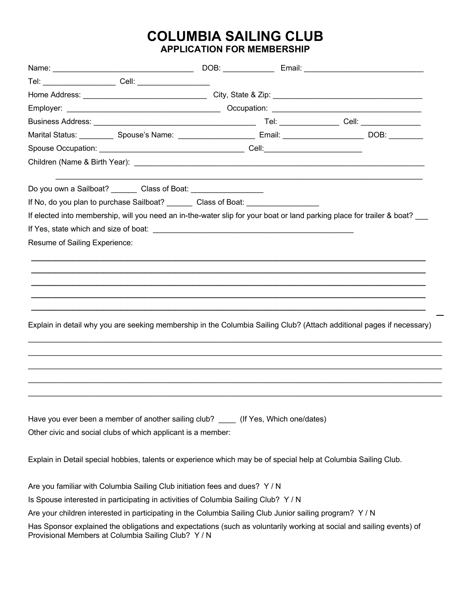## **COLUMBIA SAILING CLUB APPLICATION FOR MEMBERSHIP**

| Marital Status: ___________ Spouse's Name: _____________________ Email: _________________________ DOB: ________                                                                                                                |  |  |
|--------------------------------------------------------------------------------------------------------------------------------------------------------------------------------------------------------------------------------|--|--|
|                                                                                                                                                                                                                                |  |  |
|                                                                                                                                                                                                                                |  |  |
| Do you own a Sailboat? Class of Boat: Class of Boat:                                                                                                                                                                           |  |  |
| If No, do you plan to purchase Sailboat? Class of Boat:                                                                                                                                                                        |  |  |
| If elected into membership, will you need an in-the-water slip for your boat or land parking place for trailer & boat?                                                                                                         |  |  |
| If Yes, state which and size of boat: We have a state of the state of the state of the state of the state of the state of the state of the state of the state of the state of the state of the state of the state of the state |  |  |
| Resume of Sailing Experience:                                                                                                                                                                                                  |  |  |
|                                                                                                                                                                                                                                |  |  |
|                                                                                                                                                                                                                                |  |  |
|                                                                                                                                                                                                                                |  |  |
|                                                                                                                                                                                                                                |  |  |
|                                                                                                                                                                                                                                |  |  |
|                                                                                                                                                                                                                                |  |  |
| Explain in detail why you are seeking membership in the Columbia Sailing Club? (Attach additional pages if necessary)                                                                                                          |  |  |
|                                                                                                                                                                                                                                |  |  |
|                                                                                                                                                                                                                                |  |  |
|                                                                                                                                                                                                                                |  |  |
|                                                                                                                                                                                                                                |  |  |
|                                                                                                                                                                                                                                |  |  |
| Have you ever been a member of another sailing club? (If Yes, Which one/dates)                                                                                                                                                 |  |  |
| Other civic and social clubs of which applicant is a member:                                                                                                                                                                   |  |  |
|                                                                                                                                                                                                                                |  |  |
| Explain in Detail special hobbies, talents or experience which may be of special help at Columbia Sailing Club.                                                                                                                |  |  |
|                                                                                                                                                                                                                                |  |  |
| Are you familiar with Columbia Sailing Club initiation fees and dues? Y/N                                                                                                                                                      |  |  |
| Is Spouse interested in participating in activities of Columbia Sailing Club? Y/N                                                                                                                                              |  |  |
| Are your children interested in participating in the Columbia Sailing Club Junior sailing program? Y / N                                                                                                                       |  |  |
| Has Sponsor explained the obligations and expectations (such as voluntarily working at social and sailing events) of<br>Provisional Members at Columbia Sailing Club? Y / N                                                    |  |  |